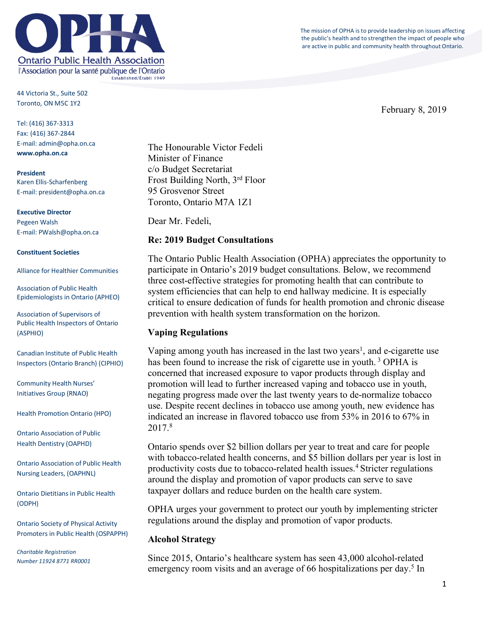The mission of OPHA is to provide leadership on issues affecting the public's health and to strengthen the impact of people who are active in public and community health throughout Ontario.



44 Victoria St., Suite 502 Toronto, ON M5C 1Y2

Tel: (416) 367-3313 Fax: (416) 367-2844 E-mail: admin@opha.on.ca **www.opha.on.ca**

**President** Karen Ellis-Scharfenberg E-mail: president@opha.on.ca

**Executive Director** Pegeen Walsh E-mail: PWalsh@opha.on.ca

### **Constituent Societies**

Alliance for Healthier Communities

Association of Public Health Epidemiologists in Ontario (APHEO)

Association of Supervisors of Public Health Inspectors of Ontario (ASPHIO)

Canadian Institute of Public Health Inspectors (Ontario Branch) (CIPHIO)

Community Health Nurses' Initiatives Group (RNAO)

Health Promotion Ontario (HPO)

Ontario Association of Public Health Dentistry (OAPHD)

Ontario Association of Public Health Nursing Leaders, (OAPHNL)

Ontario Dietitians in Public Health (ODPH)

Ontario Society of Physical Activity Promoters in Public Health (OSPAPPH)

*Charitable Registration Number 11924 8771 RR0001*

The Honourable Victor Fedeli Minister of Finance c/o Budget Secretariat Frost Building North, 3rd Floor 95 Grosvenor Street Toronto, Ontario M7A 1Z1

Dear Mr. Fedeli,

## **Re: 2019 Budget Consultations**

The Ontario Public Health Association (OPHA) appreciates the opportunity to participate in Ontario's 2019 budget consultations. Below, we recommend three cost-effective strategies for promoting health that can contribute to system efficiencies that can help to end hallway medicine. It is especially critical to ensure dedication of funds for health promotion and chronic disease prevention with health system transformation on the horizon.

## **Vaping Regulations**

Vaping among youth has increased in the last two years<sup>1</sup>, and e-cigarette use has been found to increase the risk of cigarette use in youth.<sup>3</sup> OPHA is concerned that increased exposure to vapor products through display and promotion will lead to further increased vaping and tobacco use in youth, negating progress made over the last twenty years to de-normalize tobacco use. Despite recent declines in tobacco use among youth, new evidence has indicated an increase in flavored tobacco use from 53% in 2016 to 67% in 2017<sup>8</sup>

Ontario spends over \$2 billion dollars per year to treat and care for people with tobacco-related health concerns, and \$5 billion dollars per year is lost in productivity costs due to tobacco-related health issues. 4 Stricter regulations around the display and promotion of vapor products can serve to save taxpayer dollars and reduce burden on the health care system.

OPHA urges your government to protect our youth by implementing stricter regulations around the display and promotion of vapor products.

## **Alcohol Strategy**

Since 2015, Ontario's healthcare system has seen 43,000 alcohol-related emergency room visits and an average of 66 hospitalizations per day.<sup>5</sup> In

February 8, 2019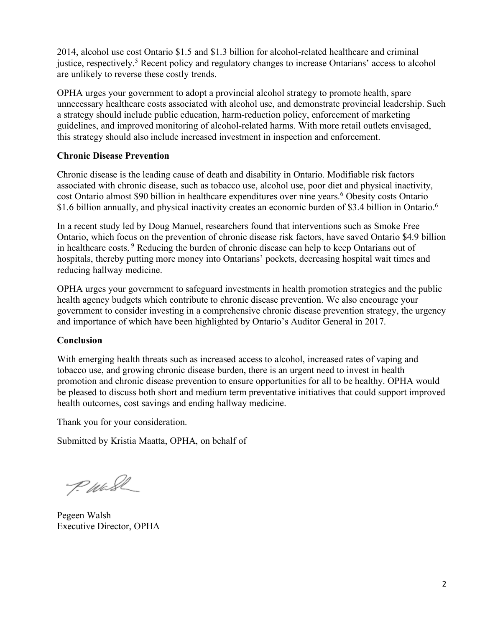2014, alcohol use cost Ontario \$1.5 and \$1.3 billion for alcohol-related healthcare and criminal justice, respectively.<sup>5</sup> Recent policy and regulatory changes to increase Ontarians' access to alcohol are unlikely to reverse these costly trends.

OPHA urges your government to adopt a provincial alcohol strategy to promote health, spare unnecessary healthcare costs associated with alcohol use, and demonstrate provincial leadership. Such a strategy should include public education, harm-reduction policy, enforcement of marketing guidelines, and improved monitoring of alcohol-related harms. With more retail outlets envisaged, this strategy should also include increased investment in inspection and enforcement.

# **Chronic Disease Prevention**

Chronic disease is the leading cause of death and disability in Ontario. Modifiable risk factors associated with chronic disease, such as tobacco use, alcohol use, poor diet and physical inactivity, cost Ontario almost \$90 billion in healthcare expenditures over nine years.<sup>6</sup> Obesity costs Ontario \$1.6 billion annually, and physical inactivity creates an economic burden of \$3.4 billion in Ontario.<sup>6</sup>

In a recent study led by Doug Manuel, researchers found that interventions such as Smoke Free Ontario, which focus on the prevention of chronic disease risk factors, have saved Ontario \$4.9 billion in healthcare costs. <sup>9</sup> Reducing the burden of chronic disease can help to keep Ontarians out of hospitals, thereby putting more money into Ontarians' pockets, decreasing hospital wait times and reducing hallway medicine.

OPHA urges your government to safeguard investments in health promotion strategies and the public health agency budgets which contribute to chronic disease prevention. We also encourage your government to consider investing in a comprehensive chronic disease prevention strategy, the urgency and importance of which have been highlighted by Ontario's Auditor General in 2017.

# **Conclusion**

With emerging health threats such as increased access to alcohol, increased rates of vaping and tobacco use, and growing chronic disease burden, there is an urgent need to invest in health promotion and chronic disease prevention to ensure opportunities for all to be healthy. OPHA would be pleased to discuss both short and medium term preventative initiatives that could support improved health outcomes, cost savings and ending hallway medicine.

Thank you for your consideration.

Submitted by Kristia Maatta, OPHA, on behalf of

P. Wash

Pegeen Walsh Executive Director, OPHA